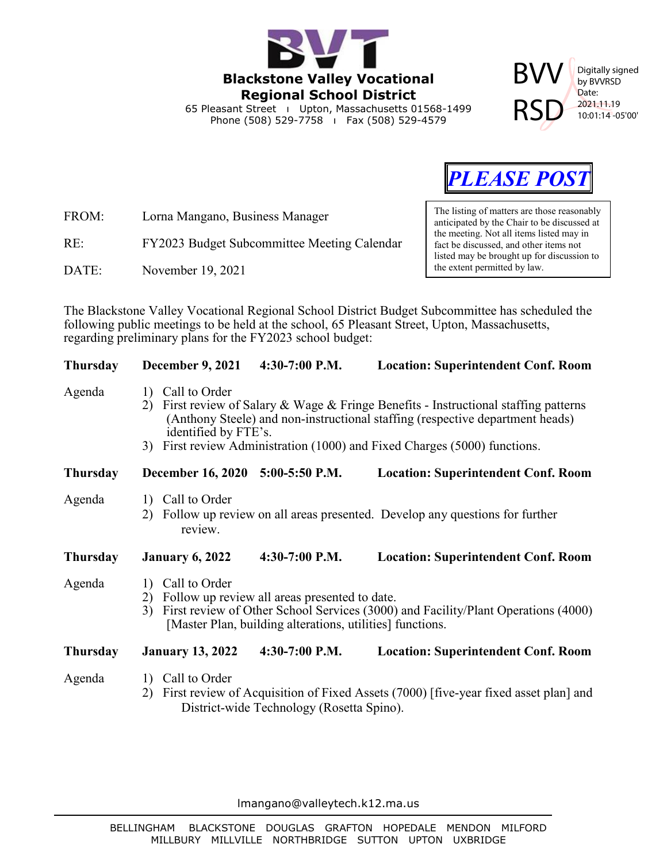





FROM: Lorna Mangano, Business Manager

RE: FY2023 Budget Subcommittee Meeting Calendar

DATE: November 19, 2021

The listing of matters are those reasonably anticipated by the Chair to be discussed at the meeting. Not all items listed may in fact be discussed, and other items not listed may be brought up for discussion to the extent permitted by law.

The Blackstone Valley Vocational Regional School District Budget Subcommittee has scheduled the following public meetings to be held at the school, 65 Pleasant Street, Upton, Massachusetts, regarding preliminary plans for the FY2023 school budget:

| <b>Thursday</b> |          | <b>December 9, 2021</b>                                                                                                                                                                                                                                                                  | 4:30-7:00 P.M.                            | <b>Location: Superintendent Conf. Room</b>                                             |  |  |
|-----------------|----------|------------------------------------------------------------------------------------------------------------------------------------------------------------------------------------------------------------------------------------------------------------------------------------------|-------------------------------------------|----------------------------------------------------------------------------------------|--|--|
| Agenda          | 2)<br>3) | 1) Call to Order<br>First review of Salary & Wage & Fringe Benefits - Instructional staffing patterns<br>(Anthony Steele) and non-instructional staffing (respective department heads)<br>identified by FTE's.<br>First review Administration (1000) and Fixed Charges (5000) functions. |                                           |                                                                                        |  |  |
| <b>Thursday</b> |          | December 16, 2020 5:00-5:50 P.M.                                                                                                                                                                                                                                                         |                                           | <b>Location: Superintendent Conf. Room</b>                                             |  |  |
| Agenda          | 2)       | 1) Call to Order<br>review.                                                                                                                                                                                                                                                              |                                           | Follow up review on all areas presented. Develop any questions for further             |  |  |
| <b>Thursday</b> |          | <b>January 6, 2022</b>                                                                                                                                                                                                                                                                   | $4:30-7:00$ P.M.                          | <b>Location: Superintendent Conf. Room</b>                                             |  |  |
| Agenda          | 1)<br>3) | Call to Order<br>2) Follow up review all areas presented to date.<br>First review of Other School Services (3000) and Facility/Plant Operations (4000)<br>[Master Plan, building alterations, utilities] functions.                                                                      |                                           |                                                                                        |  |  |
| Thursday        |          | <b>January 13, 2022</b>                                                                                                                                                                                                                                                                  | 4:30-7:00 P.M.                            | <b>Location: Superintendent Conf. Room</b>                                             |  |  |
| Agenda          |          | 1) Call to Order                                                                                                                                                                                                                                                                         | District-wide Technology (Rosetta Spino). | 2) First review of Acquisition of Fixed Assets (7000) [five-year fixed asset plan] and |  |  |

lmangano@valleytech.k12.ma.us